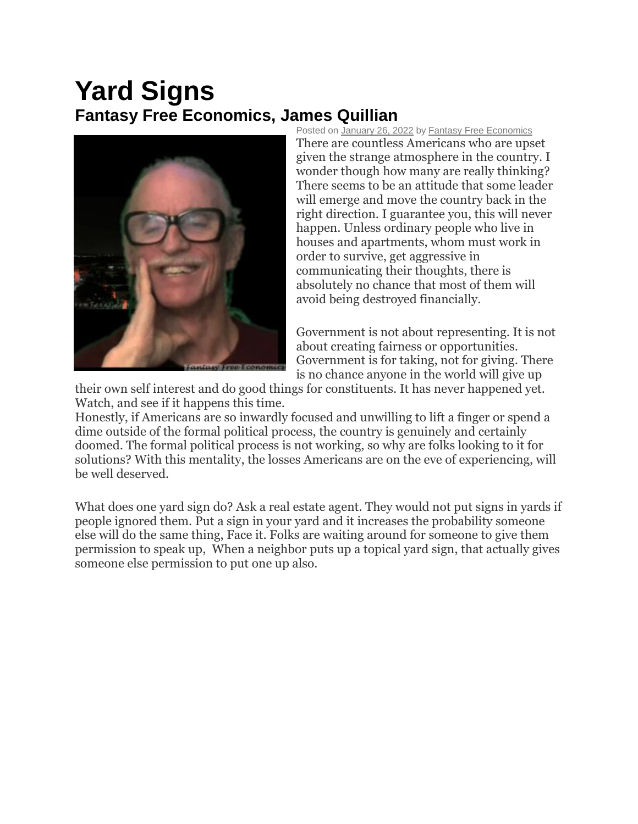## **Yard Signs Fantasy Free Economics, James Quillian**



Posted on [January 26, 2022](http://quillian.net/blog/yard-signs/) by [Fantasy Free Economics](http://quillian.net/blog/author/james-quillian/) There are countless Americans who are upset given the strange atmosphere in the country. I wonder though how many are really thinking? There seems to be an attitude that some leader will emerge and move the country back in the right direction. I guarantee you, this will never happen. Unless ordinary people who live in houses and apartments, whom must work in order to survive, get aggressive in communicating their thoughts, there is absolutely no chance that most of them will avoid being destroyed financially.

Government is not about representing. It is not about creating fairness or opportunities. Government is for taking, not for giving. There is no chance anyone in the world will give up

their own self interest and do good things for constituents. It has never happened yet. Watch, and see if it happens this time.

Honestly, if Americans are so inwardly focused and unwilling to lift a finger or spend a dime outside of the formal political process, the country is genuinely and certainly doomed. The formal political process is not working, so why are folks looking to it for solutions? With this mentality, the losses Americans are on the eve of experiencing, will be well deserved.

What does one yard sign do? Ask a real estate agent. They would not put signs in yards if people ignored them. Put a sign in your yard and it increases the probability someone else will do the same thing, Face it. Folks are waiting around for someone to give them permission to speak up, When a neighbor puts up a topical yard sign, that actually gives someone else permission to put one up also.